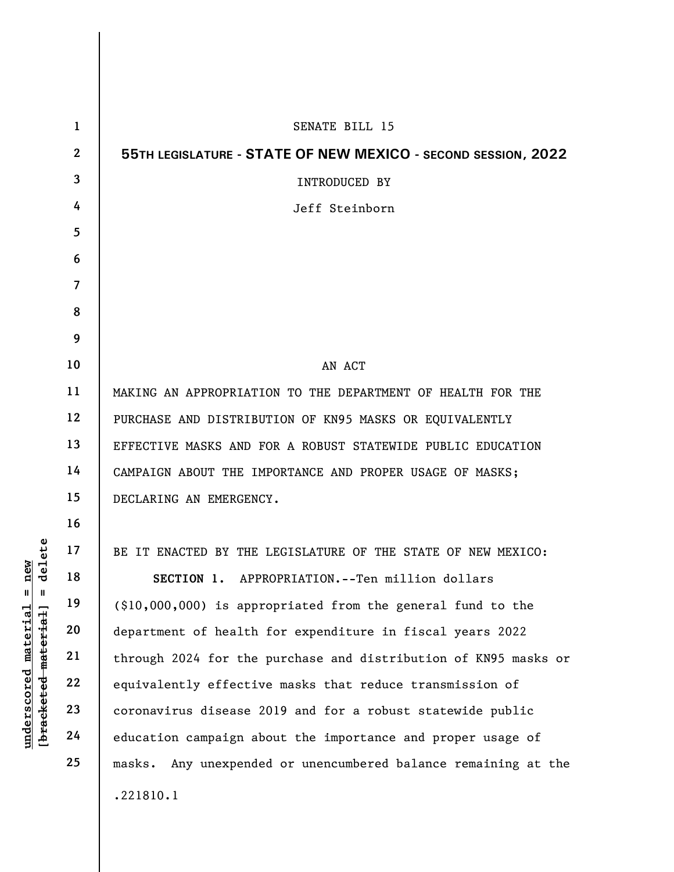|                                                    | $\mathbf{1}$   | SENATE BILL 15                                                    |
|----------------------------------------------------|----------------|-------------------------------------------------------------------|
|                                                    | $\overline{2}$ | 55TH LEGISLATURE - STATE OF NEW MEXICO - SECOND SESSION, 2022     |
|                                                    | $\overline{3}$ | <b>INTRODUCED BY</b>                                              |
|                                                    | 4              | Jeff Steinborn                                                    |
|                                                    | 5              |                                                                   |
|                                                    | 6              |                                                                   |
|                                                    | $\overline{7}$ |                                                                   |
|                                                    | 8              |                                                                   |
|                                                    | 9              |                                                                   |
|                                                    | 10             | AN ACT                                                            |
|                                                    | 11             | MAKING AN APPROPRIATION TO THE DEPARTMENT OF HEALTH FOR THE       |
|                                                    | 12             | PURCHASE AND DISTRIBUTION OF KN95 MASKS OR EQUIVALENTLY           |
|                                                    | 13             | EFFECTIVE MASKS AND FOR A ROBUST STATEWIDE PUBLIC EDUCATION       |
|                                                    | 14             | CAMPAIGN ABOUT THE IMPORTANCE AND PROPER USAGE OF MASKS;          |
|                                                    | 15             | DECLARING AN EMERGENCY.                                           |
|                                                    | 16             |                                                                   |
| delete                                             | 17             | BE IT ENACTED BY THE LEGISLATURE OF THE STATE OF NEW MEXICO:      |
| nev                                                | 18             | SECTION 1. APPROPRIATION.--Ten million dollars                    |
| Ш<br>Ш                                             | 19             | (\$10,000,000) is appropriated from the general fund to the       |
| $\mathtt{material}$                                | 20             | department of health for expenditure in fiscal years 2022         |
| material                                           | 21             | through 2024 for the purchase and distribution of KN95 masks or   |
|                                                    | 22             | equivalently effective masks that reduce transmission of          |
| $\bm{{\rm underscore}}$<br>[ <del>brack</del> eted | 23             | coronavirus disease 2019 and for a robust statewide public        |
|                                                    | 24             | education campaign about the importance and proper usage of       |
|                                                    | 25             | Any unexpended or unencumbered balance remaining at the<br>masks. |
|                                                    |                | .221810.1                                                         |